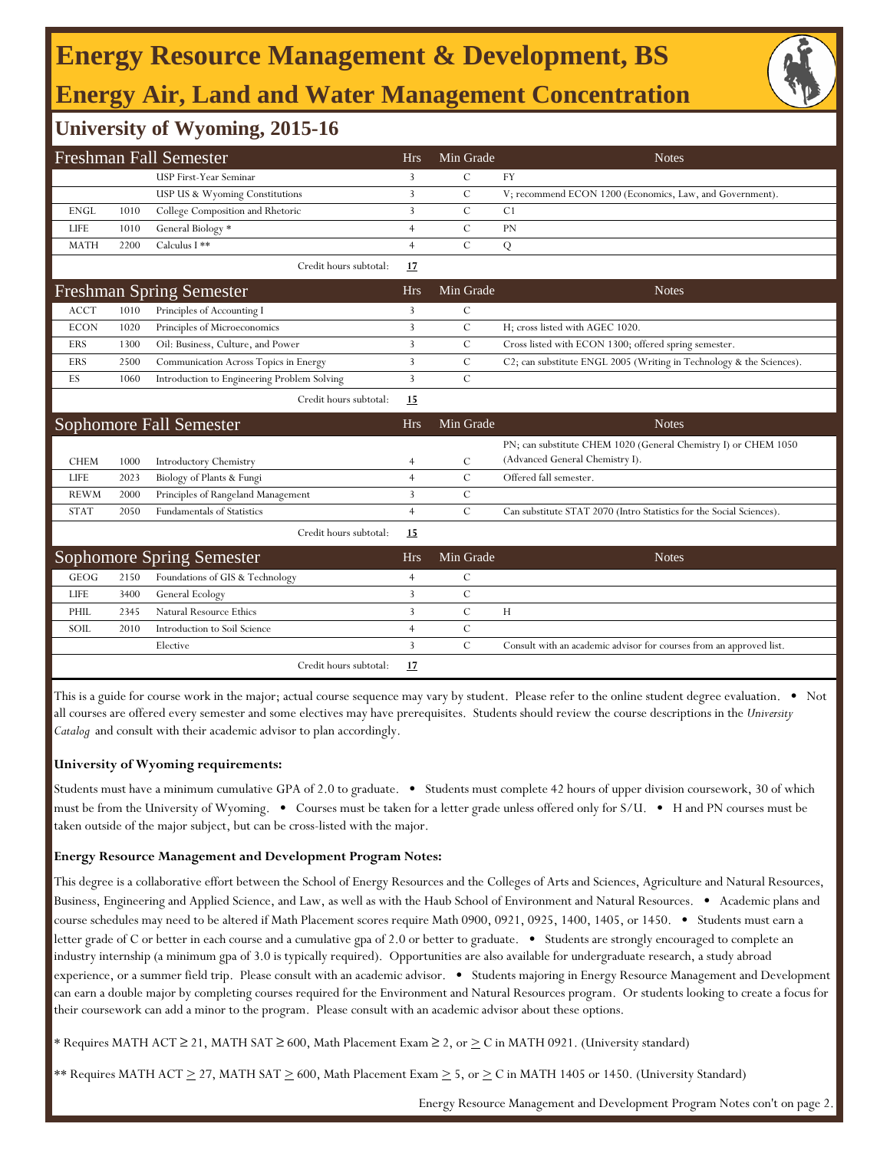## **Energy Resource Management & Development, BS Energy Air, Land and Water Management Concentration**



## **University of Wyoming, 2015-16**

|             |      | Freshman Fall Semester                      | <b>Hrs</b>     | Min Grade     | <b>Notes</b>                                                         |
|-------------|------|---------------------------------------------|----------------|---------------|----------------------------------------------------------------------|
|             |      | USP First-Year Seminar                      | 3              | $\mathcal{C}$ | <b>FY</b>                                                            |
|             |      | USP US & Wyoming Constitutions              | 3              | $\mathcal{C}$ | V; recommend ECON 1200 (Economics, Law, and Government).             |
| <b>ENGL</b> | 1010 | College Composition and Rhetoric            | 3              | $\mathcal{C}$ | C <sub>1</sub>                                                       |
| <b>LIFE</b> | 1010 | General Biology *                           | $\overline{4}$ | C             | <b>PN</b>                                                            |
| <b>MATH</b> | 2200 | Calculus I **                               | $\overline{4}$ | $\mathbf C$   | Q                                                                    |
|             |      | Credit hours subtotal:                      | 17             |               |                                                                      |
|             |      | <b>Freshman Spring Semester</b>             | <b>Hrs</b>     | Min Grade     | <b>Notes</b>                                                         |
| <b>ACCT</b> | 1010 | Principles of Accounting I                  | 3              | $\mathcal{C}$ |                                                                      |
| <b>ECON</b> | 1020 | Principles of Microeconomics                | 3              | $\mathcal{C}$ | H; cross listed with AGEC 1020.                                      |
| <b>ERS</b>  | 1300 | Oil: Business, Culture, and Power           | $\overline{3}$ | $\cal C$      | Cross listed with ECON 1300; offered spring semester.                |
| <b>ERS</b>  | 2500 | Communication Across Topics in Energy       | 3              | $\cal C$      | C2; can substitute ENGL 2005 (Writing in Technology & the Sciences). |
| ES          | 1060 | Introduction to Engineering Problem Solving | 3              | $\mathcal{C}$ |                                                                      |
|             |      | Credit hours subtotal:                      | 15             |               |                                                                      |
|             |      |                                             |                |               |                                                                      |
|             |      | Sophomore Fall Semester                     | <b>Hrs</b>     | Min Grade     | <b>Notes</b>                                                         |
|             |      |                                             |                |               | PN; can substitute CHEM 1020 (General Chemistry I) or CHEM 1050      |
| <b>CHEM</b> | 1000 | Introductory Chemistry                      | $\overline{4}$ | $\mathcal{C}$ | (Advanced General Chemistry I).                                      |
| LIFE        | 2023 | Biology of Plants & Fungi                   | $\overline{4}$ | $\mathcal{C}$ | Offered fall semester.                                               |
| <b>REWM</b> | 2000 | Principles of Rangeland Management          | 3              | C             |                                                                      |
| <b>STAT</b> | 2050 | <b>Fundamentals of Statistics</b>           | $\overline{4}$ | $\mathbf C$   | Can substitute STAT 2070 (Intro Statistics for the Social Sciences). |
|             |      | Credit hours subtotal:                      | 15             |               |                                                                      |
|             |      | <b>Sophomore Spring Semester</b>            | <b>Hrs</b>     | Min Grade     | <b>Notes</b>                                                         |
| <b>GEOG</b> | 2150 | Foundations of GIS & Technology             | $\overline{4}$ | $\mathcal{C}$ |                                                                      |
| <b>LIFE</b> | 3400 | General Ecology                             | 3              | $\mathcal{C}$ |                                                                      |
| PHIL        | 2345 | <b>Natural Resource Ethics</b>              | 3              | $\mathcal{C}$ | H                                                                    |
| SOIL        | 2010 | Introduction to Soil Science                | $\overline{4}$ | $\mathcal{C}$ |                                                                      |
|             |      | Elective                                    | 3              | $\mathcal{C}$ | Consult with an academic advisor for courses from an approved list.  |

This is a guide for course work in the major; actual course sequence may vary by student. Please refer to the online student degree evaluation. • Not all courses are offered every semester and some electives may have prerequisites. Students should review the course descriptions in the *University Catalog* and consult with their academic advisor to plan accordingly.

### **University of Wyoming requirements:**

Students must have a minimum cumulative GPA of 2.0 to graduate. • Students must complete 42 hours of upper division coursework, 30 of which must be from the University of Wyoming. • Courses must be taken for a letter grade unless offered only for S/U. • H and PN courses must be taken outside of the major subject, but can be cross-listed with the major.

#### **Energy Resource Management and Development Program Notes:**

This degree is a collaborative effort between the School of Energy Resources and the Colleges of Arts and Sciences, Agriculture and Natural Resources, Business, Engineering and Applied Science, and Law, as well as with the Haub School of Environment and Natural Resources. • Academic plans and course schedules may need to be altered if Math Placement scores require Math 0900, 0921, 0925, 1400, 1405, or 1450. • Students must earn a letter grade of C or better in each course and a cumulative gpa of 2.0 or better to graduate. • Students are strongly encouraged to complete an industry internship (a minimum gpa of 3.0 is typically required). Opportunities are also available for undergraduate research, a study abroad experience, or a summer field trip. Please consult with an academic advisor. • Students majoring in Energy Resource Management and Development can earn a double major by completing courses required for the Environment and Natural Resources program. Or students looking to create a focus for their coursework can add a minor to the program. Please consult with an academic advisor about these options.

\* Requires MATH ACT ≥ 21, MATH SAT ≥ 600, Math Placement Exam ≥ 2, or  $\geq$  C in MATH 0921. (University standard)

\*\* Requires MATH ACT  $\geq$  27, MATH SAT  $\geq$  600, Math Placement Exam  $\geq$  5, or  $\geq$  C in MATH 1405 or 1450. (University Standard)

Energy Resource Management and Development Program Notes con't on page 2.